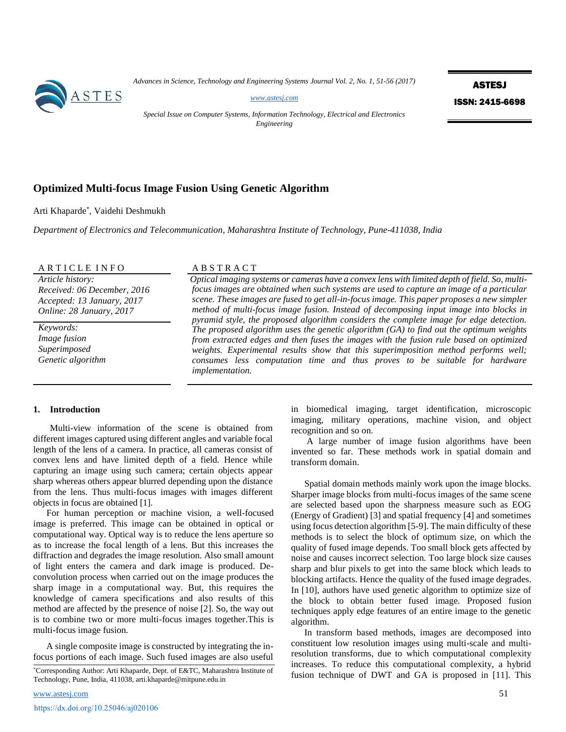*Advances in Science, Technology and Engineering Systems Journal Vol. 2, No. 1, 51-56 (2017)*



*[www.astesj.com](http://www.astesj.com/)*

ASTESJ ISSN: 2415-6698

*Special Issue on Computer Systems, Information Technology, Electrical and Electronics Engineering*

# **Optimized Multi-focus Image Fusion Using Genetic Algorithm**

Arti Khaparde\* , Vaidehi Deshmukh

*Department of Electronics and Telecommunication, Maharashtra Institute of Technology, Pune-411038, India* 

ARTICLE INFO ABSTRACT

*Article history: Received: 06 December, 2016 Accepted: 13 January, 2017 Online: 28 January, 2017*

*Keywords: Image fusion Superimposed Genetic algorithm*

*Optical imaging systems or cameras have a convex lens with limited depth of field. So, multifocus images are obtained when such systems are used to capture an image of a particular scene. These images are fused to get all-in-focus image. This paper proposes a new simpler method of multi-focus image fusion. Instead of decomposing input image into blocks in pyramid style, the proposed algorithm considers the complete image for edge detection. The proposed algorithm uses the genetic algorithm (GA) to find out the optimum weights from extracted edges and then fuses the images with the fusion rule based on optimized weights. Experimental results show that this superimposition method performs well; consumes less computation time and thus proves to be suitable for hardware implementation.*

### **1. Introduction**

Multi-view information of the scene is obtained from different images captured using different angles and variable focal length of the lens of a camera. In practice, all cameras consist of convex lens and have limited depth of a field. Hence while capturing an image using such camera; certain objects appear sharp whereas others appear blurred depending upon the distance from the lens. Thus multi-focus images with images different objects in focus are obtained [1].

For human perception or machine vision, a well-focused image is preferred. This image can be obtained in optical or computational way. Optical way is to reduce the lens aperture so as to increase the focal length of a lens. But this increases the diffraction and degrades the image resolution. Also small amount of light enters the camera and dark image is produced. Deconvolution process when carried out on the image produces the sharp image in a computational way. But, this requires the knowledge of camera specifications and also results of this method are affected by the presence of noise [2]. So, the way out is to combine two or more multi-focus images together.This is multi-focus image fusion.

A single composite image is constructed by integrating the infocus portions of each image. Such fused images are also useful in biomedical imaging, target identification, microscopic imaging, military operations, machine vision, and object recognition and so on.

 A large number of image fusion algorithms have been invented so far. These methods work in spatial domain and transform domain.

Spatial domain methods mainly work upon the image blocks. Sharper image blocks from multi-focus images of the same scene are selected based upon the sharpness measure such as EOG (Energy of Gradient) [3] and spatial frequency [4] and sometimes using focus detection algorithm [5-9]. The main difficulty of these methods is to select the block of optimum size, on which the quality of fused image depends. Too small block gets affected by noise and causes incorrect selection. Too large block size causes sharp and blur pixels to get into the same block which leads to blocking artifacts. Hence the quality of the fused image degrades. In [10], authors have used genetic algorithm to optimize size of the block to obtain better fused image. Proposed fusion techniques apply edge features of an entire image to the genetic algorithm.

In transform based methods, images are decomposed into constituent low resolution images using multi-scale and multiresolution transforms, due to which computational complexity increases. To reduce this computational complexity, a hybrid fusion technique of DWT and GA is proposed in [11]. This

<sup>\*</sup>Corresponding Author: Arti Khaparde, Dept. of E&TC, Maharashtra Institute of Technology, Pune, India, 411038, arti.khaparde@mitpune.edu.in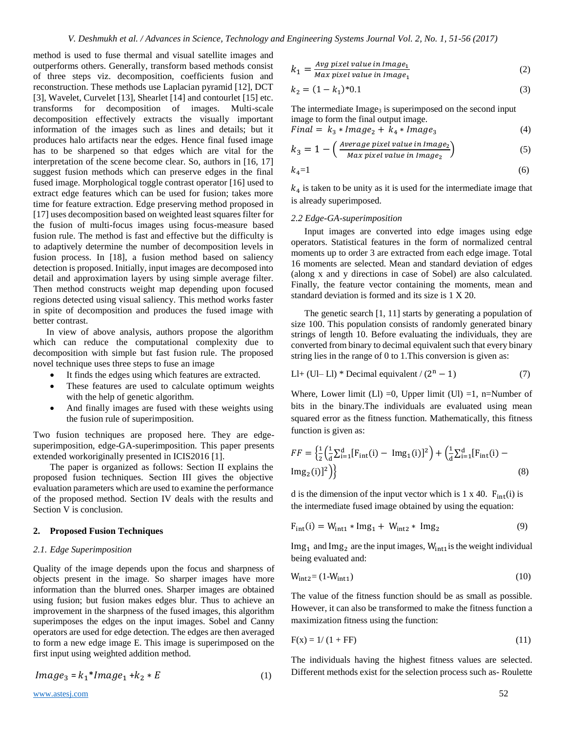method is used to fuse thermal and visual satellite images and outperforms others. Generally, transform based methods consist of three steps viz. decomposition, coefficients fusion and reconstruction. These methods use Laplacian pyramid [12], DCT [3], Wavelet, Curvelet [13], Shearlet [14] and contourlet [15] etc. transforms for decomposition of images. Multi-scale decomposition effectively extracts the visually important information of the images such as lines and details; but it produces halo artifacts near the edges. Hence final fused image has to be sharpened so that edges which are vital for the interpretation of the scene become clear. So, authors in [16, 17] suggest fusion methods which can preserve edges in the final fused image. Morphological toggle contrast operator [16] used to extract edge features which can be used for fusion; takes more time for feature extraction. Edge preserving method proposed in [17] uses decomposition based on weighted least squares filter for the fusion of multi-focus images using focus-measure based fusion rule. The method is fast and effective but the difficulty is to adaptively determine the number of decomposition levels in fusion process. In [18], a fusion method based on saliency detection is proposed. Initially, input images are decomposed into detail and approximation layers by using simple average filter. Then method constructs weight map depending upon focused regions detected using visual saliency. This method works faster in spite of decomposition and produces the fused image with better contrast.

In view of above analysis, authors propose the algorithm which can reduce the computational complexity due to decomposition with simple but fast fusion rule. The proposed novel technique uses three steps to fuse an image

- It finds the edges using which features are extracted.
- These features are used to calculate optimum weights with the help of genetic algorithm.
- And finally images are fused with these weights using the fusion rule of superimposition.

Two fusion techniques are proposed here. They are edgesuperimposition, edge-GA-superimposition. This paper presents extended workoriginally presented in ICIS2016 [1].

The paper is organized as follows: Section II explains the proposed fusion techniques. Section III gives the objective evaluation parameters which are used to examine the performance of the proposed method. Section IV deals with the results and Section V is conclusion.

## **2. Proposed Fusion Techniques**

## *2.1. Edge Superimposition*

Quality of the image depends upon the focus and sharpness of objects present in the image. So sharper images have more information than the blurred ones. Sharper images are obtained using fusion; but fusion makes edges blur. Thus to achieve an improvement in the sharpness of the fused images, this algorithm superimposes the edges on the input images. Sobel and Canny operators are used for edge detection. The edges are then averaged to form a new edge image E. This image is superimposed on the first input using weighted addition method.

$$
Image_3 = k_1 * Image_1 + k_2 * E \tag{1}
$$

$$
k_1 = \frac{Avg\ pixel\ value\ in\ Image_1}{Max\ pixel\ values\ in\ Image_2} \tag{2}
$$

$$
^{11}
$$
 Max pixel value in Image<sub>1</sub>

$$
k_2 = (1 - k_1)^* 0.1 \tag{3}
$$

The intermediate  $\text{Image}_3$  is superimposed on the second input image to form the final output image.

$$
Final = k_3 * Image_2 + k_4 * Image_3 \tag{4}
$$

$$
k_3 = 1 - \left(\frac{\text{Average pixel value in Image}_2}{\text{Max pixel value in Image}_2}\right) \tag{5}
$$

$$
k_4=1\tag{6}
$$

 $k_4$  is taken to be unity as it is used for the intermediate image that is already superimposed.

## *2.2 Edge-GA-superimposition*

Input images are converted into edge images using edge operators. Statistical features in the form of normalized central moments up to order 3 are extracted from each edge image. Total 16 moments are selected. Mean and standard deviation of edges (along x and y directions in case of Sobel) are also calculated. Finally, the feature vector containing the moments, mean and standard deviation is formed and its size is 1 X 20.

The genetic search [1, 11] starts by generating a population of size 100. This population consists of randomly generated binary strings of length 10. Before evaluating the individuals, they are converted from binary to decimal equivalent such that every binary string lies in the range of 0 to 1.This conversion is given as:

$$
LI + (UI - L1) * Decimal equivalent / (2n - 1)
$$
 (7)

Where, Lower limit (Ll) =0, Upper limit (Ul) =1, n=Number of bits in the binary.The individuals are evaluated using mean squared error as the fitness function. Mathematically, this fitness function is given as:

$$
FF = \left\{ \frac{1}{2} \left( \frac{1}{d} \sum_{i=1}^{d} [F_{int}(i) - Img_1(i)]^2 \right) + \left( \frac{1}{d} \sum_{i=1}^{d} [F_{int}(i) - Img_2(i)]^2 \right) \right\}
$$
(8)

d is the dimension of the input vector which is  $1 \times 40$ .  $F_{int}(i)$  is the intermediate fused image obtained by using the equation:

$$
F_{int}(i) = W_{int1} * Img_1 + W_{int2} * Img_2
$$
 (9)

 $Img<sub>1</sub>$  and  $Img<sub>2</sub>$  are the input images,  $W<sub>int1</sub>$  is the weight individual being evaluated and:

$$
W_{\text{int2}} = (1-W_{\text{int1}}) \tag{10}
$$

The value of the fitness function should be as small as possible. However, it can also be transformed to make the fitness function a maximization fitness using the function:

$$
F(x) = 1/(1 + FF)
$$
 (11)

The individuals having the highest fitness values are selected. Different methods exist for the selection process such as- Roulette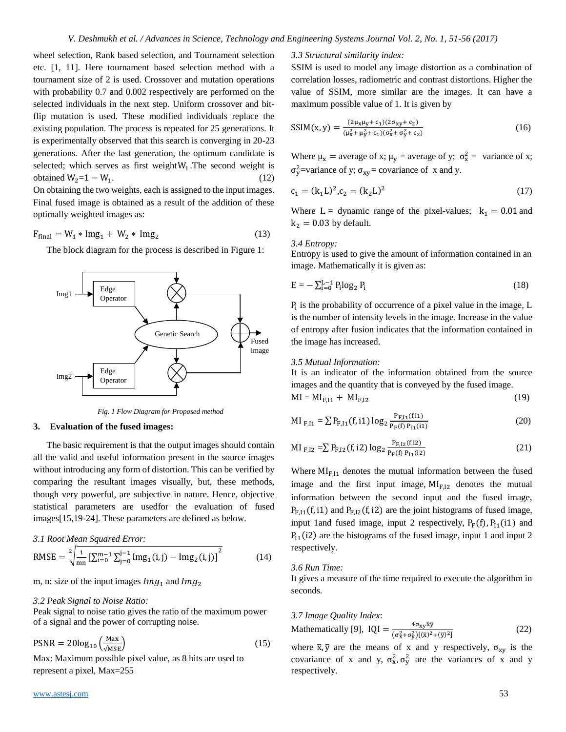wheel selection, Rank based selection, and Tournament selection etc. [1, 11]. Here tournament based selection method with a tournament size of 2 is used. Crossover and mutation operations with probability 0.7 and 0.002 respectively are performed on the selected individuals in the next step. Uniform crossover and bitflip mutation is used. These modified individuals replace the existing population. The process is repeated for 25 generations. It is experimentally observed that this search is converging in 20-23 generations. After the last generation, the optimum candidate is selected; which serves as first weight  $W_1$ . The second weight is obtained  $W_2=1-W_1$ . .  $(12)$ On obtaining the two weights, each is assigned to the input images.

Final fused image is obtained as a result of the addition of these optimally weighted images as:

$$
F_{final} = W_1 * Img_1 + W_2 * Img_2
$$
 (13)

The block diagram for the process is described in Figure 1:



*Fig. 1 Flow Diagram for Proposed method*

## **3. Evaluation of the fused images:**

The basic requirement is that the output images should contain all the valid and useful information present in the source images without introducing any form of distortion. This can be verified by comparing the resultant images visually, but, these methods, though very powerful, are subjective in nature. Hence, objective statistical parameters are usedfor the evaluation of fused images[15,19-24]. These parameters are defined as below.

*3.1 Root Mean Squared Error:* 

RMSE = 
$$
\sqrt[2]{\frac{1}{mn} [\sum_{i=0}^{m-1} \sum_{j=0}^{j-1} Img_1(i,j) - Img_2(i,j)]^2}
$$
 (14)

m, n: size of the input images  $Im g_1$  and  $Im g_2$ 

## *3.2 Peak Signal to Noise Ratio:*

Peak signal to noise ratio gives the ratio of the maximum power of a signal and the power of corrupting noise.

$$
PSNR = 20\log_{10}\left(\frac{\text{Max}}{\sqrt{\text{MSE}}}\right)
$$
 (15)

Max: Maximum possible pixel value, as 8 bits are used to represent a pixel, Max=255

## *3.3 Structural similarity index:*

SSIM is used to model any image distortion as a combination of correlation losses, radiometric and contrast distortions. Higher the value of SSIM, more similar are the images. It can have a maximum possible value of 1. It is given by

$$
SSIM(x, y) = \frac{(2\mu_x \mu_y + c_1)(2\sigma_{xy} + c_2)}{(\mu_x^2 + \mu_y^2 + c_1)(\sigma_x^2 + \sigma_y^2 + c_2)}
$$
(16)

Where  $\mu_x$  = average of x;  $\mu_y$  = average of y;  $\sigma_x^2$  = variance of x; σ<sup>2</sup>/<sub>y</sub> = variance of y; σ<sub>xy</sub> = covariance of x and y.

$$
c_1 = (k_1 L)^2, c_2 = (k_2 L)^2
$$
\n(17)

Where  $L =$  dynamic range of the pixel-values;  $k_1 = 0.01$  and  $k_2$  = 0.03 by default.

## *3.4 Entropy:*

Entropy is used to give the amount of information contained in an image. Mathematically it is given as:

$$
E = -\sum_{i=0}^{L-1} P_i \log_2 P_i \tag{18}
$$

Pi is the probability of occurrence of a pixel value in the image, L is the number of intensity levels in the image. Increase in the value of entropy after fusion indicates that the information contained in the image has increased.

### *3.5 Mutual Information:*

It is an indicator of the information obtained from the source images and the quantity that is conveyed by the fused image.

$$
MI = MI_{F,I1} + MI_{F,I2}
$$
 (19)

MI<sub>F,I1</sub> = 
$$
\sum P_{F,I1}(f,i1) \log_2 \frac{P_{F,I1}(f,i1)}{P_F(f) P_{I1}(i1)}
$$
 (20)

MI<sub>F,I2</sub> =
$$
\sum P_{F,I2}(f,i2) \log_2 \frac{P_{F,I2}(f,i2)}{P_F(f) P_{I1}(i2)}
$$
 (21)

Where  $MI<sub>F,I1</sub>$  denotes the mutual information between the fused image and the first input image,  $MI<sub>F,I2</sub>$  denotes the mutual information between the second input and the fused image,  $P_{F,11}(f, i1)$  and  $P_{F,12}(f, i2)$  are the joint histograms of fused image, input 1and fused image, input 2 respectively,  $P_F(f)$ ,  $P_{11}(i1)$  and  $P_{11}(i2)$  are the histograms of the fused image, input 1 and input 2 respectively.

### *3.6 Run Time:*

respectively.

It gives a measure of the time required to execute the algorithm in seconds.

# *3.7 Image Quality Index*: Mathematically [9],  $IQI = \frac{4\sigma_{xy}\bar{x}\bar{y}}{(1-2.1-\bar{x}^2)\Gamma(\bar{x})^2}$

 $\left(\sigma_x^2 + \sigma_y^2\right) \left[ (\bar{x})^2 + (\bar{y})^2 \right]$  (22) where  $\bar{x}$ ,  $\bar{y}$  are the means of x and y respectively,  $\sigma_{xy}$  is the covariance of x and y,  $\sigma_x^2$ ,  $\sigma_y^2$  are the variances of x and y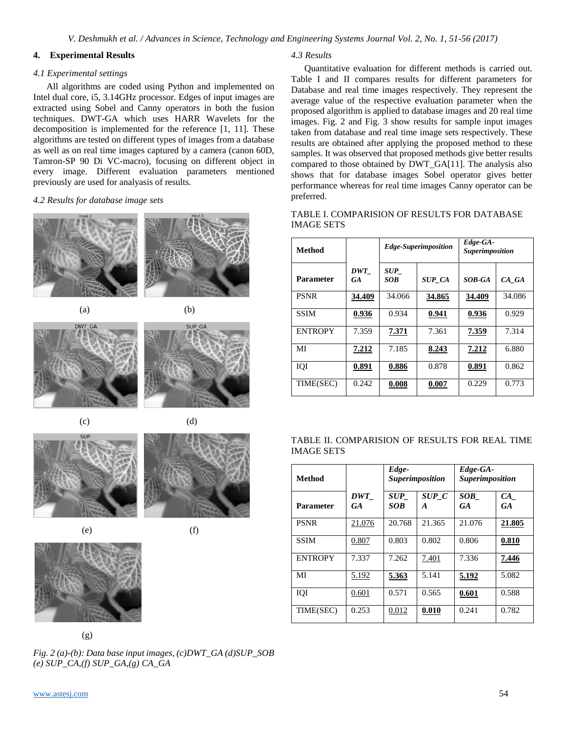## **4. Experimental Results**

## *4.1 Experimental settings*

All algorithms are coded using Python and implemented on Intel dual core, i5, 3.14GHz processor. Edges of input images are extracted using Sobel and Canny operators in both the fusion techniques. DWT-GA which uses HARR Wavelets for the decomposition is implemented for the reference [1, 11]. These algorithms are tested on different types of images from a database as well as on real time images captured by a camera (canon 60D, Tamron-SP 90 Di VC-macro), focusing on different object in every image. Different evaluation parameters mentioned previously are used for analyasis of results.

## *4.2 Results for database image sets*











**SLIP** 





(g)

*Fig. 2 (a)-(b): Data base input images, (c)DWT\_GA (d)SUP\_SOB (e) SUP\_CA,(f) SUP\_GA,(g) CA\_GA*

## *4.3 Results*

Quantitative evaluation for different methods is carried out. Table I and II compares results for different parameters for Database and real time images respectively. They represent the average value of the respective evaluation parameter when the proposed algorithm is applied to database images and 20 real time images. Fig. 2 and Fig. 3 show results for sample input images taken from database and real time image sets respectively. These results are obtained after applying the proposed method to these samples. It was observed that proposed methods give better results compared to those obtained by DWT\_GA[11]. The analysis also shows that for database images Sobel operator gives better performance whereas for real time images Canny operator can be preferred.

| <b>Method</b>    |                                 | Edge-Superimposition |               | Edge-GA-<br><b>Superimposition</b> |        |
|------------------|---------------------------------|----------------------|---------------|------------------------------------|--------|
| <b>Parameter</b> | $\boldsymbol{DWT}$<br><b>GA</b> | <i>SUP</i><br>SOB    | <b>SUP CA</b> | SOB-GA                             | CA_GA  |
| <b>PSNR</b>      | 34.409                          | 34.066               | 34.865        | 34.409                             | 34.086 |
| <b>SSIM</b>      | 0.936                           | 0.934                | 0.941         | 0.936                              | 0.929  |
| <b>ENTROPY</b>   | 7.359                           | 7.371                | 7.361         | 7.359                              | 7.314  |
| MI               | 7.212                           | 7.185                | 8.243         | 7.212                              | 6.880  |
| IQI              | 0.891                           | 0.886                | 0.878         | 0.891                              | 0.862  |
| TIME(SEC)        | 0.242                           | 0.008                | 0.007         | 0.229                              | 0.773  |

# TABLE I. COMPARISION OF RESULTS FOR DATABASE IMAGE SETS

|            | TABLE II. COMPARISION OF RESULTS FOR REAL TIME |  |  |  |
|------------|------------------------------------------------|--|--|--|
| IMAGE SETS |                                                |  |  |  |

| <b>Method</b>    |           | Edge-<br><b>Superimposition</b> |            | Edge-GA-<br><b>Superimposition</b> |                 |
|------------------|-----------|---------------------------------|------------|------------------------------------|-----------------|
| <b>Parameter</b> | DWT<br>GA | <b>SUP</b><br>SOB               | SUP C<br>A | SOB<br><b>GA</b>                   | CA<br><b>GA</b> |
| <b>PSNR</b>      | 21.076    | 20.768                          | 21.365     | 21.076                             | 21.805          |
| <b>SSIM</b>      | 0.807     | 0.803                           | 0.802      | 0.806                              | 0.810           |
| <b>ENTROPY</b>   | 7.337     | 7.262                           | 7.401      | 7.336                              | 7.446           |
| MI               | 5.192     | 5.363                           | 5.141      | 5.192                              | 5.082           |
| IOI              | 0.601     | 0.571                           | 0.565      | 0.601                              | 0.588           |
| TIME(SEC)        | 0.253     | 0.012                           | 0.010      | 0.241                              | 0.782           |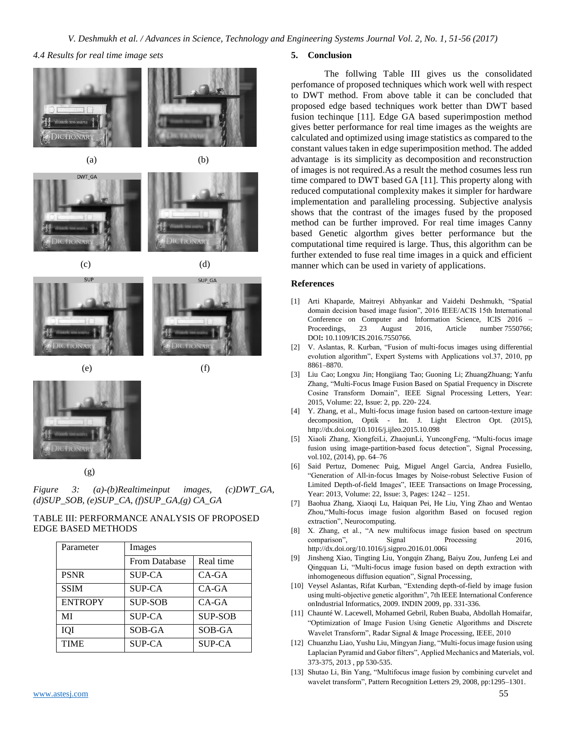*4.4 Results for real time image sets*







 $(c)$  (d)





 $(e)$  (f)



# (g)

*Figure 3: (a)-(b)Realtimeinput images, (c)DWT\_GA, (d)SUP\_SOB, (e)SUP\_CA, (f)SUP\_GA,(g) CA\_GA*

# TABLE III: PERFORMANCE ANALYSIS OF PROPOSED EDGE BASED METHODS

| Parameter      | Images               |                |  |
|----------------|----------------------|----------------|--|
|                | <b>From Database</b> | Real time      |  |
| <b>PSNR</b>    | <b>SUP-CA</b>        | CA-GA          |  |
| <b>SSIM</b>    | <b>SUP-CA</b>        | $CA-GA$        |  |
| <b>ENTROPY</b> | <b>SUP-SOB</b>       | $CA-GA$        |  |
| MI             | <b>SUP-CA</b>        | <b>SUP-SOB</b> |  |
| IQI            | SOB-GA               | SOB-GA         |  |
| <b>TIME</b>    | <b>SUP-CA</b>        | <b>SUP-CA</b>  |  |

## **5. Conclusion**

The follwing Table III gives us the consolidated perfomance of proposed techniques which work well with respect to DWT method. From above table it can be concluded that proposed edge based techniques work better than DWT based fusion techinque [11]. Edge GA based superimpostion method gives better performance for real time images as the weights are calculated and optimized using image statistics as compared to the constant values taken in edge superimposition method. The added advantage is its simplicity as decomposition and reconstruction of images is not required.As a result the method cosumes less run time compared to DWT based GA [11]. This property along with reduced computational complexity makes it simpler for hardware implementation and paralleling processing. Subjective analysis shows that the contrast of the images fused by the proposed method can be further improved. For real time images Canny based Genetic algorthm gives better performance but the computational time required is large. Thus, this algorithm can be further extended to fuse real time images in a quick and efficient manner which can be used in variety of applications.

## **References**

- [1] Arti Khaparde, Maitreyi Abhyankar and Vaidehi Deshmukh, "Spatial domain decision based image fusion", 2016 IEEE/ACIS 15th International Conference on Computer and Information Science, ICIS 2016 – Proceedings, 23 August 2016, Article number 7550766; DOI**:** 10.1109/ICIS.2016.7550766.
- [2] V. Aslantas, R. Kurban, "Fusion of multi-focus images using differential evolution algorithm", Expert Systems with Applications vol.37, 2010, pp 8861–8870.
- [3] Liu Cao; Longxu Jin; Hongjiang Tao; Guoning Li; ZhuangZhuang; Yanfu Zhang, "Multi-Focus Image Fusion Based on Spatial Frequency in Discrete Cosine Transform Domain", [IEEE Signal Processing Letters,](http://ieeexplore.ieee.org/xpl/RecentIssue.jsp?punumber=97) Year: 2015, Volume: 22, [Issue:](http://ieeexplore.ieee.org/xpl/tocresult.jsp?isnumber=6884871) 2, pp. 220- 224.
- [4] Y. Zhang, et al., Multi-focus image fusion based on cartoon-texture image decomposition, Optik - Int. J. Light Electron Opt. (2015), <http://dx.doi.org/10.1016/j.ijleo.2015.10.098>
- [5] Xiaoli Zhang, XiongfeiLi, ZhaojunLi, YuncongFeng, "Multi-focus image fusion using image-partition-based focus detection", Signal Processing, vol.102, (2014), pp. 64–76
- [6] Said Pertuz, Domenec Puig, Miguel Angel Garcia, Andrea Fusiello, "Generation of All-in-focus Images by Noise-robust Selective Fusion of Limited Depth-of-field Images", [IEEE Transactions on](http://ieeexplore.ieee.org/xpl/RecentIssue.jsp?punumber=83) Image Processing, Year: 2013, Volume: 22, [Issue:](http://ieeexplore.ieee.org/xpl/tocresult.jsp?isnumber=6421028) 3, Pages: 1242 – 1251.
- [7] Baohua Zhang, Xiaoqi Lu, Haiquan Pei, He Liu, Ying Zhao and Wentao Zhou,"Multi-focus image fusion algorithm Based on focused region extraction", Neurocomputing.
- [8] X. Zhang, et al., "A new multifocus image fusion based on spectrum comparison", Signal Processing 2016, http://dx.doi.org/10.1016/j.sigpro.2016.01.006i
- [9] Jinsheng Xiao, Tingting Liu, Yongqin Zhang, Baiyu Zou, Junfeng Lei and Qingquan Li, "Multi-focus image fusion based on depth extraction with inhomogeneous diffusion equation", Signal Processing,
- [10] Veysel Aslantas, Rifat Kurban, "Extending depth-of-field by image fusion using multi-objective genetic algorithm"[, 7th IEEE International Conference](http://ieeexplore.ieee.org/xpl/mostRecentIssue.jsp?punumber=5175248)  [onIndustrial Informatics, 2009. INDIN 2009,](http://ieeexplore.ieee.org/xpl/mostRecentIssue.jsp?punumber=5175248) pp. 331-336.
- [11] Chaunté W. Lacewell, Mohamed Gebril, Ruben Buaba, Abdollah Homaifar, "Optimization of Image Fusion Using Genetic Algorithms and Discrete Wavelet Transform", Radar Signal & Image Processing, IEEE, 2010
- [12] Chuanzhu Liao, Yushu Liu, Mingyan Jiang, "Multi-focus image fusion using Laplacian Pyramid and Gabor filters", Applied Mechanics and Materials, vol. 373-375, 2013 , pp 530-535.
- [13] Shutao Li, Bin Yang, "Multifocus image fusion by combining curvelet and wavelet transform", Pattern Recognition Letters 29, 2008, pp:1295–1301.